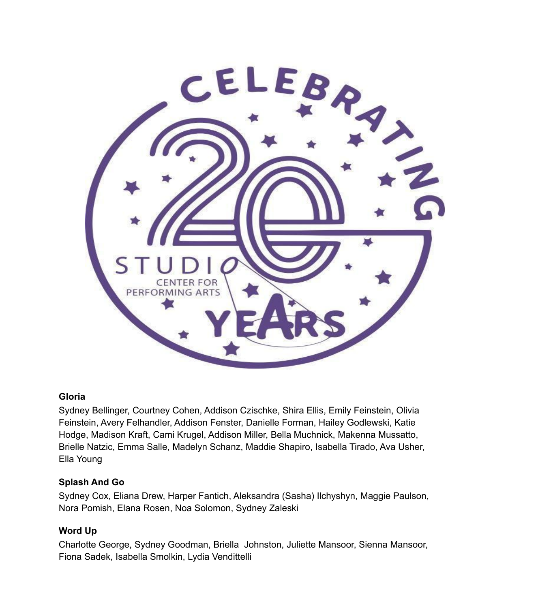

#### **Gloria**

Sydney Bellinger, Courtney Cohen, Addison Czischke, Shira Ellis, Emily Feinstein, Olivia Feinstein, Avery Felhandler, Addison Fenster, Danielle Forman, Hailey Godlewski, Katie Hodge, Madison Kraft, Cami Krugel, Addison Miller, Bella Muchnick, Makenna Mussatto, Brielle Natzic, Emma Salle, Madelyn Schanz, Maddie Shapiro, Isabella Tirado, Ava Usher, Ella Young

#### **Splash And Go**

Sydney Cox, Eliana Drew, Harper Fantich, Aleksandra (Sasha) Ilchyshyn, Maggie Paulson, Nora Pomish, Elana Rosen, Noa Solomon, Sydney Zaleski

#### **Word Up**

Charlotte George, Sydney Goodman, Briella Johnston, Juliette Mansoor, Sienna Mansoor, Fiona Sadek, Isabella Smolkin, Lydia Vendittelli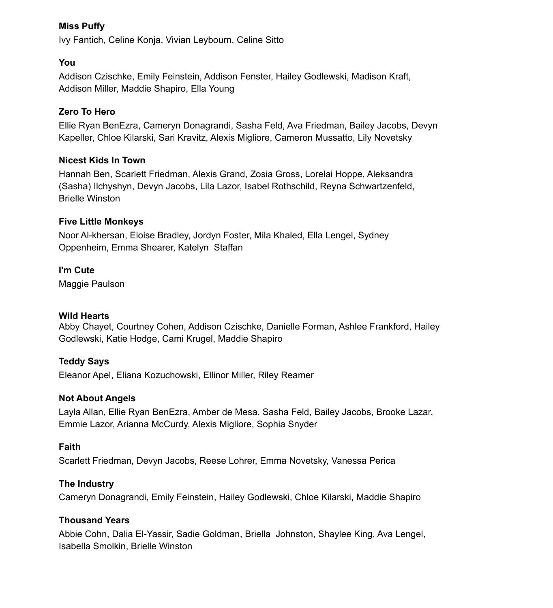#### **Miss Puffy**

Ivy Fantich, Celine Konja, Vivian Leybourn, Celine Sitto

#### **You**

Addison Czischke, Emily Feinstein, Addison Fenster, Hailey Godlewski, Madison Kraft, Addison Miller, Maddie Shapiro, Ella Young

## **Zero To Hero**

Ellie Ryan BenEzra, Cameryn Donagrandi, Sasha Feld, Ava Friedman, Bailey Jacobs, Devyn Kapeller, Chloe Kilarski, Sari Kravitz, Alexis Migliore, Cameron Mussatto, Lily Novetsky

## **Nicest Kids In Town**

Hannah Ben, Scarlett Friedman, Alexis Grand, Zosia Gross, Lorelai Hoppe, Aleksandra (Sasha) Ilchyshyn, Devyn Jacobs, Lila Lazor, Isabel Rothschild, Reyna Schwartzenfeld, Brielle Winston

## **Five Little Monkeys**

Noor Al-khersan, Eloise Bradley, Jordyn Foster, Mila Khaled, Ella Lengel, Sydney Oppenheim, Emma Shearer, Katelyn Staffan

# **I'm Cute**

Maggie Paulson

## **Wild Hearts**

Abby Chayet, Courtney Cohen, Addison Czischke, Danielle Forman, Ashlee Frankford, Hailey Godlewski, Katie Hodge, Cami Krugel, Maddie Shapiro

## **Teddy Says**

Eleanor Apel, Eliana Kozuchowski, Ellinor Miller, Riley Reamer

## **Not About Angels**

Layla Allan, Ellie Ryan BenEzra, Amber de Mesa, Sasha Feld, Bailey Jacobs, Brooke Lazar, Emmie Lazor, Arianna McCurdy, Alexis Migliore, Sophia Snyder

## **Faith**

Scarlett Friedman, Devyn Jacobs, Reese Lohrer, Emma Novetsky, Vanessa Perica

## **The Industry**

Cameryn Donagrandi, Emily Feinstein, Hailey Godlewski, Chloe Kilarski, Maddie Shapiro

## **Thousand Years**

Abbie Cohn, Dalia El-Yassir, Sadie Goldman, Briella Johnston, Shaylee King, Ava Lengel, Isabella Smolkin, Brielle Winston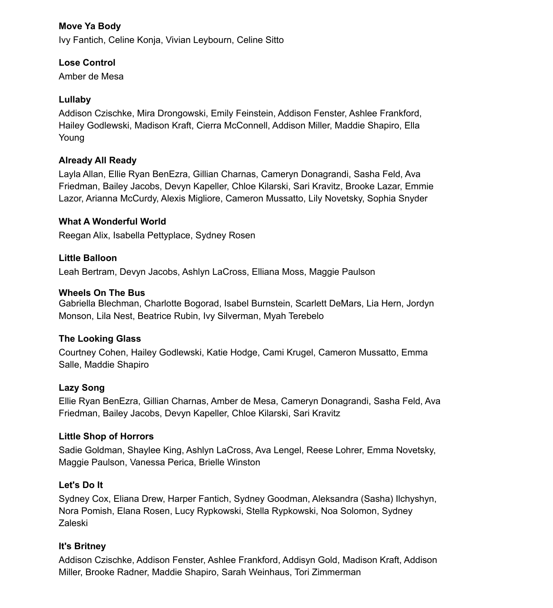## **Move Ya Body**

Ivy Fantich, Celine Konja, Vivian Leybourn, Celine Sitto

## **Lose Control**

Amber de Mesa

## **Lullaby**

Addison Czischke, Mira Drongowski, Emily Feinstein, Addison Fenster, Ashlee Frankford, Hailey Godlewski, Madison Kraft, Cierra McConnell, Addison Miller, Maddie Shapiro, Ella Young

# **Already All Ready**

Layla Allan, Ellie Ryan BenEzra, Gillian Charnas, Cameryn Donagrandi, Sasha Feld, Ava Friedman, Bailey Jacobs, Devyn Kapeller, Chloe Kilarski, Sari Kravitz, Brooke Lazar, Emmie Lazor, Arianna McCurdy, Alexis Migliore, Cameron Mussatto, Lily Novetsky, Sophia Snyder

#### **What A Wonderful World**

Reegan Alix, Isabella Pettyplace, Sydney Rosen

## **Little Balloon**

Leah Bertram, Devyn Jacobs, Ashlyn LaCross, Elliana Moss, Maggie Paulson

#### **Wheels On The Bus**

Gabriella Blechman, Charlotte Bogorad, Isabel Burnstein, Scarlett DeMars, Lia Hern, Jordyn Monson, Lila Nest, Beatrice Rubin, Ivy Silverman, Myah Terebelo

## **The Looking Glass**

Courtney Cohen, Hailey Godlewski, Katie Hodge, Cami Krugel, Cameron Mussatto, Emma Salle, Maddie Shapiro

## **Lazy Song**

Ellie Ryan BenEzra, Gillian Charnas, Amber de Mesa, Cameryn Donagrandi, Sasha Feld, Ava Friedman, Bailey Jacobs, Devyn Kapeller, Chloe Kilarski, Sari Kravitz

## **Little Shop of Horrors**

Sadie Goldman, Shaylee King, Ashlyn LaCross, Ava Lengel, Reese Lohrer, Emma Novetsky, Maggie Paulson, Vanessa Perica, Brielle Winston

## **Let's Do It**

Sydney Cox, Eliana Drew, Harper Fantich, Sydney Goodman, Aleksandra (Sasha) Ilchyshyn, Nora Pomish, Elana Rosen, Lucy Rypkowski, Stella Rypkowski, Noa Solomon, Sydney Zaleski

## **It's Britney**

Addison Czischke, Addison Fenster, Ashlee Frankford, Addisyn Gold, Madison Kraft, Addison Miller, Brooke Radner, Maddie Shapiro, Sarah Weinhaus, Tori Zimmerman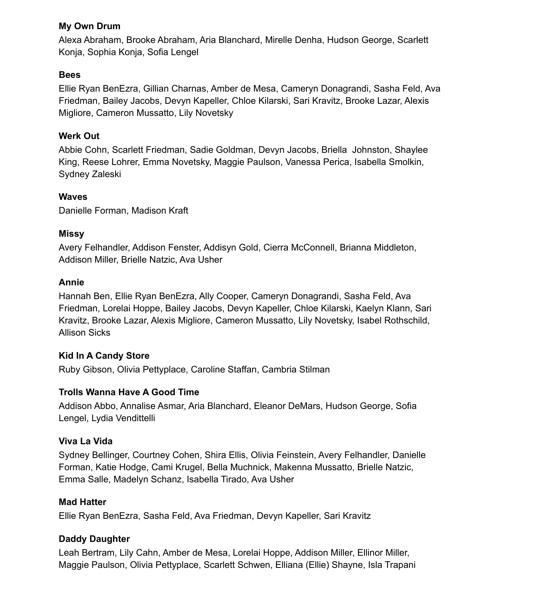#### **My Own Drum**

Alexa Abraham, Brooke Abraham, Aria Blanchard, Mirelle Denha, Hudson George, Scarlett Konja, Sophia Konja, Sofia Lengel

#### **Bees**

Ellie Ryan BenEzra, Gillian Charnas, Amber de Mesa, Cameryn Donagrandi, Sasha Feld, Ava Friedman, Bailey Jacobs, Devyn Kapeller, Chloe Kilarski, Sari Kravitz, Brooke Lazar, Alexis Migliore, Cameron Mussatto, Lily Novetsky

#### **Werk Out**

Abbie Cohn, Scarlett Friedman, Sadie Goldman, Devyn Jacobs, Briella Johnston, Shaylee King, Reese Lohrer, Emma Novetsky, Maggie Paulson, Vanessa Perica, Isabella Smolkin, Sydney Zaleski

#### **Waves**

Danielle Forman, Madison Kraft

#### **Missy**

Avery Felhandler, Addison Fenster, Addisyn Gold, Cierra McConnell, Brianna Middleton, Addison Miller, Brielle Natzic, Ava Usher

#### **Annie**

Hannah Ben, Ellie Ryan BenEzra, Ally Cooper, Cameryn Donagrandi, Sasha Feld, Ava Friedman, Lorelai Hoppe, Bailey Jacobs, Devyn Kapeller, Chloe Kilarski, Kaelyn Klann, Sari Kravitz, Brooke Lazar, Alexis Migliore, Cameron Mussatto, Lily Novetsky, Isabel Rothschild, Allison Sicks

#### **Kid In A Candy Store**

Ruby Gibson, Olivia Pettyplace, Caroline Staffan, Cambria Stilman

#### **Trolls Wanna Have A Good Time**

Addison Abbo, Annalise Asmar, Aria Blanchard, Eleanor DeMars, Hudson George, Sofia Lengel, Lydia Vendittelli

#### **Viva La Vida**

Sydney Bellinger, Courtney Cohen, Shira Ellis, Olivia Feinstein, Avery Felhandler, Danielle Forman, Katie Hodge, Cami Krugel, Bella Muchnick, Makenna Mussatto, Brielle Natzic, Emma Salle, Madelyn Schanz, Isabella Tirado, Ava Usher

#### **Mad Hatter**

Ellie Ryan BenEzra, Sasha Feld, Ava Friedman, Devyn Kapeller, Sari Kravitz

#### **Daddy Daughter**

Leah Bertram, Lily Cahn, Amber de Mesa, Lorelai Hoppe, Addison Miller, Ellinor Miller, Maggie Paulson, Olivia Pettyplace, Scarlett Schwen, Elliana (Ellie) Shayne, Isla Trapani